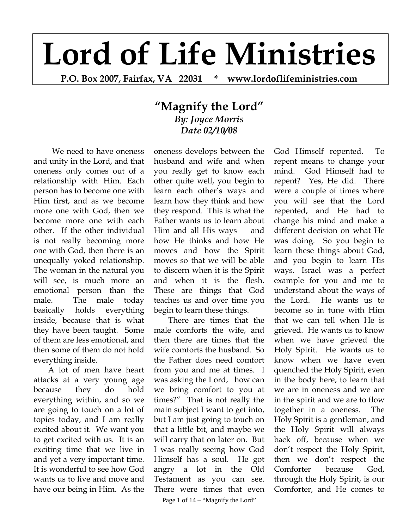## **Lord of Life Ministries**

**P.O. Box 2007, Fairfax, VA 22031 \* www.lordoflifeministries.com** 

## **"Magnify the Lord"** *By: Joyce Morris Date 02/10/08*

 We need to have oneness and unity in the Lord, and that oneness only comes out of a relationship with Him. Each person has to become one with Him first, and as we become more one with God, then we become more one with each other. If the other individual is not really becoming more one with God, then there is an unequally yoked relationship. The woman in the natural you will see, is much more an emotional person than the male. The male today basically holds everything inside, because that is what they have been taught. Some of them are less emotional, and then some of them do not hold everything inside.

A lot of men have heart attacks at a very young age because they do hold everything within, and so we are going to touch on a lot of topics today, and I am really excited about it. We want you to get excited with us. It is an exciting time that we live in and yet a very important time. It is wonderful to see how God wants us to live and move and have our being in Him. As the

oneness develops between the husband and wife and when you really get to know each other quite well, you begin to learn each other's ways and learn how they think and how they respond. This is what the Father wants us to learn about Him and all His ways and how He thinks and how He moves and how the Spirit moves so that we will be able to discern when it is the Spirit and when it is the flesh. These are things that God teaches us and over time you begin to learn these things.

There are times that the male comforts the wife, and then there are times that the wife comforts the husband. So the Father does need comfort from you and me at times. I was asking the Lord, how can we bring comfort to you at times?" That is not really the main subject I want to get into, but I am just going to touch on that a little bit, and maybe we will carry that on later on. But I was really seeing how God Himself has a soul. He got angry a lot in the Old Testament as you can see. There were times that even

repent means to change your mind. God Himself had to repent? Yes, He did. There were a couple of times where you will see that the Lord repented, and He had to change his mind and make a different decision on what He was doing. So you begin to learn these things about God, and you begin to learn His ways. Israel was a perfect example for you and me to understand about the ways of the Lord. He wants us to become so in tune with Him that we can tell when He is grieved. He wants us to know when we have grieved the Holy Spirit. He wants us to know when we have even quenched the Holy Spirit, even in the body here, to learn that we are in oneness and we are in the spirit and we are to flow together in a oneness. The Holy Spirit is a gentleman, and the Holy Spirit will always back off, because when we don't respect the Holy Spirit, then we don't respect the Comforter because God, through the Holy Spirit, is our Comforter, and He comes to

God Himself repented. To

Page 1 of  $14 -$ "Magnify the Lord"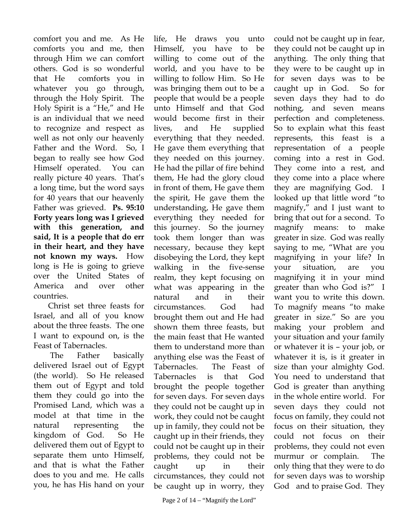comfort you and me. As He comforts you and me, then through Him we can comfort others. God is so wonderful that He comforts you in whatever you go through, through the Holy Spirit. The Holy Spirit is a "He," and He is an individual that we need to recognize and respect as well as not only our heavenly Father and the Word. So, I began to really see how God Himself operated. You can really picture 40 years. That's a long time, but the word says for 40 years that our heavenly Father was grieved. **Ps. 95:10 Forty years long was I grieved with this generation, and said, It is a people that do err in their heart, and they have not known my ways.** How long is He is going to grieve over the United States of America and over other countries.

Christ set three feasts for Israel, and all of you know about the three feasts. The one I want to expound on, is the Feast of Tabernacles.

 The Father basically delivered Israel out of Egypt (the world). So He released them out of Egypt and told them they could go into the Promised Land, which was a model at that time in the natural representing the kingdom of God. So He delivered them out of Egypt to separate them unto Himself, and that is what the Father does to you and me. He calls you, he has His hand on your

life, He draws you unto Himself, you have to be willing to come out of the world, and you have to be willing to follow Him. So He was bringing them out to be a people that would be a people unto Himself and that God would become first in their lives, and He supplied everything that they needed. He gave them everything that they needed on this journey. He had the pillar of fire behind them, He had the glory cloud in front of them, He gave them the spirit, He gave them the understanding, He gave them everything they needed for this journey. So the journey took them longer than was necessary, because they kept disobeying the Lord, they kept walking in the five-sense realm, they kept focusing on what was appearing in the natural and in their circumstances. God had brought them out and He had shown them three feasts, but the main feast that He wanted them to understand more than anything else was the Feast of Tabernacles. The Feast of Tabernacles is that God brought the people together for seven days. For seven days they could not be caught up in work, they could not be caught up in family, they could not be caught up in their friends, they could not be caught up in their problems, they could not be caught up in their circumstances, they could not be caught up in worry, they

could not be caught up in fear, they could not be caught up in anything. The only thing that they were to be caught up in for seven days was to be caught up in God. So for seven days they had to do nothing, and seven means perfection and completeness. So to explain what this feast represents, this feast is a representation of a people coming into a rest in God. They come into a rest, and they come into a place where they are magnifying God. I looked up that little word "to magnify," and I just want to bring that out for a second. To magnify means: to make greater in size. God was really saying to me, "What are you magnifying in your life? In your situation, are you magnifying it in your mind greater than who God is?" I want you to write this down. To magnify means "to make greater in size." So are you making your problem and your situation and your family or whatever it is – your job, or whatever it is, is it greater in size than your almighty God. You need to understand that God is greater than anything in the whole entire world. For seven days they could not focus on family, they could not focus on their situation, they could not focus on their problems, they could not even murmur or complain. The only thing that they were to do for seven days was to worship God and to praise God. They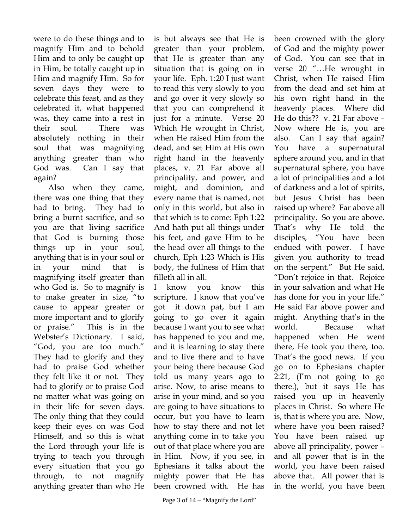were to do these things and to magnify Him and to behold Him and to only be caught up in Him, be totally caught up in Him and magnify Him. So for seven days they were to celebrate this feast, and as they celebrated it, what happened was, they came into a rest in their soul. There was absolutely nothing in their soul that was magnifying anything greater than who God was. Can I say that again?

Also when they came, there was one thing that they had to bring. They had to bring a burnt sacrifice, and so you are that living sacrifice that God is burning those things up in your soul, anything that is in your soul or in your mind that is magnifying itself greater than who God is. So to magnify is to make greater in size, "to cause to appear greater or more important and to glorify or praise." This is in the Webster's Dictionary. I said, "God, you are too much." They had to glorify and they had to praise God whether they felt like it or not. They had to glorify or to praise God no matter what was going on in their life for seven days. The only thing that they could keep their eyes on was God Himself, and so this is what the Lord through your life is trying to teach you through every situation that you go through, to not magnify anything greater than who He

is but always see that He is greater than your problem, that He is greater than any situation that is going on in your life. Eph. 1:20 I just want to read this very slowly to you and go over it very slowly so that you can comprehend it just for a minute. Verse 20 Which He wrought in Christ, when He raised Him from the dead, and set Him at His own right hand in the heavenly places, v. 21 Far above all principality, and power, and might, and dominion, and every name that is named, not only in this world, but also in that which is to come: Eph 1:22 And hath put all things under his feet, and gave Him to be the head over all things to the church, Eph 1:23 Which is His body, the fullness of Him that filleth all in all.

I know you know this scripture. I know that you've got it down pat, but I am going to go over it again because I want you to see what has happened to you and me, and it is learning to stay there and to live there and to have your being there because God told us many years ago to arise. Now, to arise means to arise in your mind, and so you are going to have situations to occur, but you have to learn how to stay there and not let anything come in to take you out of that place where you are in Him. Now, if you see, in Ephesians it talks about the mighty power that He has been crowned with. He has

been crowned with the glory of God and the mighty power of God. You can see that in verse 20 "…He wrought in Christ, when He raised Him from the dead and set him at his own right hand in the heavenly places. Where did He do this?? v. 21 Far above – Now where He is, you are also. Can I say that again? You have a supernatural sphere around you, and in that supernatural sphere, you have a lot of principalities and a lot of darkness and a lot of spirits, but Jesus Christ has been raised up where? Far above all principality. So you are above. That's why He told the disciples, "You have been endued with power. I have given you authority to tread on the serpent." But He said, "Don't rejoice in that. Rejoice in your salvation and what He has done for you in your life." He said Far above power and might. Anything that's in the world. Because what happened when He went there, He took you there, too. That's the good news. If you go on to Ephesians chapter 2:21, (I'm not going to go there.), but it says He has raised you up in heavenly places in Christ. So where He is, that is where you are. Now, where have you been raised? You have been raised up above all principality, power – and all power that is in the world, you have been raised above that. All power that is in the world, you have been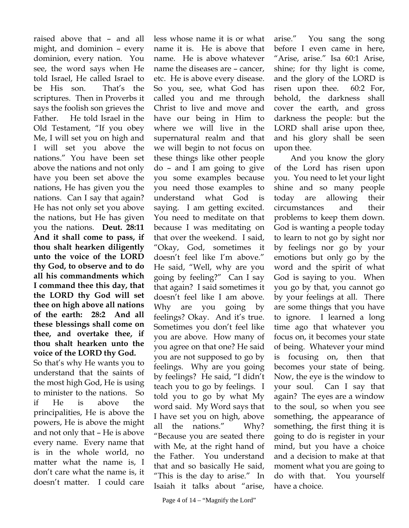raised above that – and all might, and dominion – every dominion, every nation. You see, the word says when He told Israel, He called Israel to be His son. That's the scriptures. Then in Proverbs it says the foolish son grieves the Father. He told Israel in the Old Testament, "If you obey Me, I will set you on high and I will set you above the nations." You have been set above the nations and not only have you been set above the nations, He has given you the nations. Can I say that again? He has not only set you above the nations, but He has given you the nations. **Deut. 28:11 And it shall come to pass, if thou shalt hearken diligently unto the voice of the LORD thy God, to observe and to do all his commandments which I command thee this day, that the LORD thy God will set thee on high above all nations of the earth: 28:2 And all these blessings shall come on thee, and overtake thee, if thou shalt hearken unto the voice of the LORD thy God.** So that's why He wants you to understand that the saints of the most high God, He is using to minister to the nations. So if He is above the principalities, He is above the powers, He is above the might and not only that – He is above every name. Every name that is in the whole world, no matter what the name is, I don't care what the name is, it doesn't matter. I could care

less whose name it is or what name it is. He is above that name. He is above whatever name the diseases are – cancer, etc. He is above every disease. So you, see, what God has called you and me through Christ to live and move and have our being in Him to where we will live in the supernatural realm and that we will begin to not focus on these things like other people do – and I am going to give you some examples because you need those examples to understand what God is saying. I am getting excited. You need to meditate on that because I was meditating on that over the weekend. I said, "Okay, God, sometimes it doesn't feel like I'm above." He said, "Well, why are you going by feeling?" Can I say that again? I said sometimes it doesn't feel like I am above. Why are you going by feelings? Okay. And it's true. Sometimes you don't feel like you are above. How many of you agree on that one? He said you are not supposed to go by feelings. Why are you going by feelings? He said, "I didn't teach you to go by feelings. I told you to go by what My word said. My Word says that I have set you on high, above all the nations." Why? "Because you are seated there with Me, at the right hand of the Father. You understand that and so basically He said, "This is the day to arise." In Isaiah it talks about "arise,

arise." You sang the song before I even came in here, "Arise, arise." Isa 60:1 Arise, shine; for thy light is come, and the glory of the LORD is risen upon thee. 60:2 For, behold, the darkness shall cover the earth, and gross darkness the people: but the LORD shall arise upon thee, and his glory shall be seen upon thee.

 And you know the glory of the Lord has risen upon you. You need to let your light shine and so many people today are allowing their circumstances and their problems to keep them down. God is wanting a people today to learn to not go by sight nor by feelings nor go by your emotions but only go by the word and the spirit of what God is saying to you. When you go by that, you cannot go by your feelings at all. There are some things that you have to ignore. I learned a long time ago that whatever you focus on, it becomes your state of being. Whatever your mind is focusing on, then that becomes your state of being. Now, the eye is the window to your soul. Can I say that again? The eyes are a window to the soul, so when you see something, the appearance of something, the first thing it is going to do is register in your mind, but you have a choice and a decision to make at that moment what you are going to do with that. You yourself have a choice.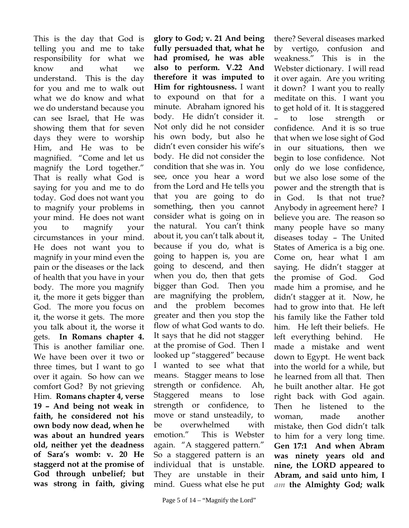This is the day that God is telling you and me to take responsibility for what we know and what we understand. This is the day for you and me to walk out what we do know and what we do understand because you can see Israel, that He was showing them that for seven days they were to worship Him, and He was to be magnified. "Come and let us magnify the Lord together." That is really what God is saying for you and me to do today. God does not want you to magnify your problems in your mind. He does not want you to magnify your circumstances in your mind. He does not want you to magnify in your mind even the pain or the diseases or the lack of health that you have in your body. The more you magnify it, the more it gets bigger than God. The more you focus on it, the worse it gets. The more you talk about it, the worse it gets. **In Romans chapter 4.** This is another familiar one. We have been over it two or three times, but I want to go over it again. So how can we comfort God? By not grieving Him. **Romans chapter 4, verse 19 – And being not weak in faith, he considered not his own body now dead, when he was about an hundred years old, neither yet the deadness of Sara's womb: v. 20 He staggerd not at the promise of God through unbelief; but was strong in faith, giving** 

**glory to God; v. 21 And being fully persuaded that, what he had promised, he was able also to perform. V.22 And therefore it was imputed to Him for rightousness.** I want to expound on that for a minute. Abraham ignored his body. He didn't consider it. Not only did he not consider his own body, but also he didn't even consider his wife's body. He did not consider the condition that she was in. You see, once you hear a word from the Lord and He tells you that you are going to do something, then you cannot consider what is going on in the natural. You can't think about it, you can't talk about it, because if you do, what is going to happen is, you are going to descend, and then when you do, then that gets bigger than God. Then you are magnifying the problem, and the problem becomes greater and then you stop the flow of what God wants to do. It says that he did not stagger at the promise of God. Then I looked up "staggered" because I wanted to see what that means. Stagger means to lose strength or confidence. Ah, Staggered means to lose strength or confidence, to move or stand unsteadily, to be overwhelmed with emotion." This is Webster again. "A staggered pattern." So a staggered pattern is an individual that is unstable. They are unstable in their mind. Guess what else he put

there? Several diseases marked by vertigo, confusion and weakness." This is in the Webster dictionary. I will read it over again. Are you writing it down? I want you to really meditate on this. I want you to get hold of it. It is staggered – to lose strength or confidence. And it is so true that when we lose sight of God in our situations, then we begin to lose confidence. Not only do we lose confidence, but we also lose some of the power and the strength that is in God. Is that not true? Anybody in agreement here? I believe you are. The reason so many people have so many diseases today – The United States of America is a big one. Come on, hear what I am saying. He didn't stagger at the promise of God. God made him a promise, and he didn't stagger at it. Now, he had to grow into that. He left his family like the Father told him. He left their beliefs. He left everything behind. He made a mistake and went down to Egypt. He went back into the world for a while, but he learned from all that. Then he built another altar. He got right back with God again. Then he listened to the woman, made another mistake, then God didn't talk to him for a very long time. **Gen 17:1 And when Abram was ninety years old and nine, the LORD appeared to Abram, and said unto him, I**  *am* **the Almighty God; walk**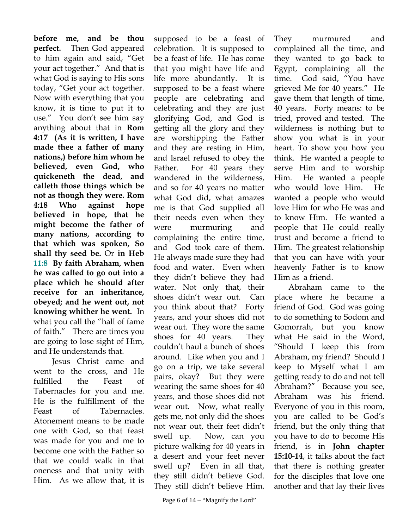**before me, and be thou perfect.** Then God appeared to him again and said, "Get your act together." And that is what God is saying to His sons today, "Get your act together. Now with everything that you know, it is time to put it to use." You don't see him say anything about that in **Rom 4:17 (As it is written, I have made thee a father of many nations,) before him whom he believed, even God, who quickeneth the dead, and calleth those things which be not as though they were. Rom 4:18 Who against hope believed in hope, that he might become the father of many nations, according to that which was spoken, So shall thy seed be.** Or **in Heb 11:8 By faith Abraham, when he was called to go out into a place which he should after receive for an inheritance, obeyed; and he went out, not knowing whither he went.** In what you call the "hall of fame of faith." There are times you are going to lose sight of Him, and He understands that.

 Jesus Christ came and went to the cross, and He fulfilled the Feast of Tabernacles for you and me. He is the fulfillment of the Feast of Tabernacles. Atonement means to be made one with God, so that feast was made for you and me to become one with the Father so that we could walk in that oneness and that unity with Him. As we allow that, it is

supposed to be a feast of celebration. It is supposed to be a feast of life. He has come that you might have life and life more abundantly. It is supposed to be a feast where people are celebrating and celebrating and they are just glorifying God, and God is getting all the glory and they are worshipping the Father and they are resting in Him, and Israel refused to obey the Father. For 40 years they wandered in the wilderness, and so for 40 years no matter what God did, what amazes me is that God supplied all their needs even when they were murmuring and complaining the entire time, and God took care of them. He always made sure they had food and water. Even when they didn't believe they had water. Not only that, their shoes didn't wear out. Can you think about that? Forty years, and your shoes did not wear out. They wore the same shoes for 40 years. They couldn't haul a bunch of shoes around. Like when you and I go on a trip, we take several pairs, okay? But they were wearing the same shoes for 40 years, and those shoes did not wear out. Now, what really gets me, not only did the shoes not wear out, their feet didn't swell up. Now, can you picture walking for 40 years in a desert and your feet never swell up? Even in all that, they still didn't believe God. They still didn't believe Him.

They murmured and complained all the time, and they wanted to go back to Egypt, complaining all the time. God said, "You have grieved Me for 40 years." He gave them that length of time, 40 years. Forty means: to be tried, proved and tested. The wilderness is nothing but to show you what is in your heart. To show you how you think. He wanted a people to serve Him and to worship Him. He wanted a people who would love Him. He wanted a people who would love Him for who He was and to know Him. He wanted a people that He could really trust and become a friend to Him. The greatest relationship that you can have with your heavenly Father is to know Him as a friend.

Abraham came to the place where he became a friend of God. God was going to do something to Sodom and Gomorrah, but you know what He said in the Word, "Should I keep this from Abraham, my friend? Should I keep to Myself what I am getting ready to do and not tell Abraham?" Because you see, Abraham was his friend. Everyone of you in this room, you are called to be God's friend, but the only thing that you have to do to become His friend, is in **John chapter 15:10-14**, it talks about the fact that there is nothing greater for the disciples that love one another and that lay their lives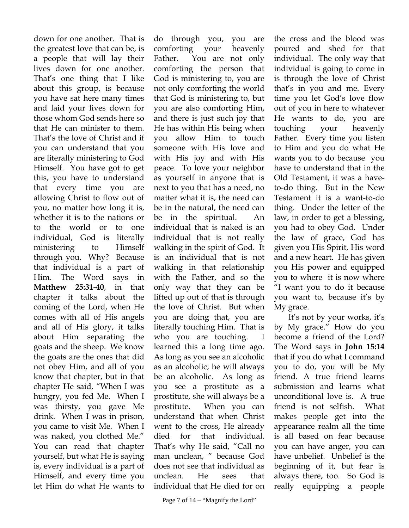down for one another. That is the greatest love that can be, is a people that will lay their lives down for one another. That's one thing that I like about this group, is because you have sat here many times and laid your lives down for those whom God sends here so that He can minister to them. That's the love of Christ and if you can understand that you are literally ministering to God Himself. You have got to get this, you have to understand that every time you are allowing Christ to flow out of you, no matter how long it is, whether it is to the nations or to the world or to one individual, God is literally ministering to Himself through you. Why? Because that individual is a part of Him. The Word says in **Matthew 25:31-40**, in that chapter it talks about the coming of the Lord, when He comes with all of His angels and all of His glory, it talks about Him separating the goats and the sheep. We know the goats are the ones that did not obey Him, and all of you know that chapter, but in that chapter He said, "When I was hungry, you fed Me. When I was thirsty, you gave Me drink. When I was in prison, you came to visit Me. When I was naked, you clothed Me." You can read that chapter yourself, but what He is saying is, every individual is a part of Himself, and every time you let Him do what He wants to

do through you, you are comforting your heavenly Father. You are not only comforting the person that God is ministering to, you are not only comforting the world that God is ministering to, but you are also comforting Him, and there is just such joy that He has within His being when you allow Him to touch someone with His love and with His joy and with His peace. To love your neighbor as yourself in anyone that is next to you that has a need, no matter what it is, the need can be in the natural, the need can be in the spiritual. An individual that is naked is an individual that is not really walking in the spirit of God. It is an individual that is not walking in that relationship with the Father, and so the only way that they can be lifted up out of that is through the love of Christ. But when you are doing that, you are literally touching Him. That is who you are touching. I learned this a long time ago. As long as you see an alcoholic as an alcoholic, he will always be an alcoholic. As long as you see a prostitute as a prostitute, she will always be a prostitute. When you can understand that when Christ went to the cross, He already died for that individual. That's why He said, "Call no man unclean, " because God does not see that individual as unclean. He sees that individual that He died for on

individual. The only way that individual is going to come in is through the love of Christ that's in you and me. Every time you let God's love flow out of you in here to whatever He wants to do, you are touching your heavenly Father. Every time you listen to Him and you do what He wants you to do because you have to understand that in the Old Testament, it was a haveto-do thing. But in the New Testament it is a want-to-do thing. Under the letter of the law, in order to get a blessing, you had to obey God. Under the law of grace, God has given you His Spirit, His word and a new heart. He has given you His power and equipped you to where it is now where "I want you to do it because you want to, because it's by My grace. It's not by your works, it's by My grace." How do you

the cross and the blood was poured and shed for that

become a friend of the Lord? The Word says in **John 15:14** that if you do what I command you to do, you will be My friend. A true friend learns submission and learns what unconditional love is. A true friend is not selfish. What makes people get into the appearance realm all the time is all based on fear because you can have anger, you can have unbelief. Unbelief is the beginning of it, but fear is always there, too. So God is really equipping a people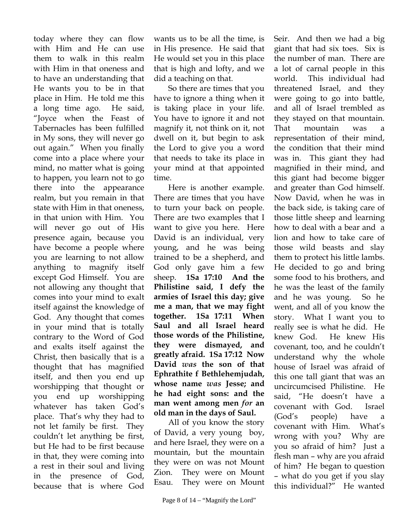today where they can flow with Him and He can use them to walk in this realm with Him in that oneness and to have an understanding that He wants you to be in that place in Him. He told me this a long time ago. He said, "Joyce when the Feast of Tabernacles has been fulfilled in My sons, they will never go out again." When you finally come into a place where your mind, no matter what is going to happen, you learn not to go there into the appearance realm, but you remain in that state with Him in that oneness, in that union with Him. You will never go out of His presence again, because you have become a people where you are learning to not allow anything to magnify itself except God Himself. You are not allowing any thought that comes into your mind to exalt itself against the knowledge of God. Any thought that comes in your mind that is totally contrary to the Word of God and exalts itself against the Christ, then basically that is a thought that has magnified itself, and then you end up worshipping that thought or you end up worshipping whatever has taken God's place. That's why they had to not let family be first. They couldn't let anything be first, but He had to be first because in that, they were coming into a rest in their soul and living in the presence of God, because that is where God

wants us to be all the time, is in His presence. He said that He would set you in this place that is high and lofty, and we did a teaching on that.

So there are times that you have to ignore a thing when it is taking place in your life. You have to ignore it and not magnify it, not think on it, not dwell on it, but begin to ask the Lord to give you a word that needs to take its place in your mind at that appointed time.

Here is another example. There are times that you have to turn your back on people. There are two examples that I want to give you here. Here David is an individual, very young, and he was being trained to be a shepherd, and God only gave him a few sheep. **1Sa 17:10 And the Philistine said, I defy the armies of Israel this day; give me a man, that we may fight together. 1Sa 17:11 When Saul and all Israel heard those words of the Philistine, they were dismayed, and greatly afraid. 1Sa 17:12 Now David** *was* **the son of that Ephrathite f Bethlehemjudah, whose name** *was* **Jesse; and he had eight sons: and the man went among men** *for* **an old man in the days of Saul.** 

All of you know the story of David, a very young boy, and here Israel, they were on a mountain, but the mountain they were on was not Mount Zion. They were on Mount Esau. They were on Mount

Seir. And then we had a big giant that had six toes. Six is the number of man. There are a lot of carnal people in this world. This individual had threatened Israel, and they were going to go into battle, and all of Israel trembled as they stayed on that mountain. That mountain was a representation of their mind, the condition that their mind was in. This giant they had magnified in their mind, and this giant had become bigger and greater than God himself. Now David, when he was in the back side, is taking care of those little sheep and learning how to deal with a bear and a lion and how to take care of those wild beasts and slay them to protect his little lambs. He decided to go and bring some food to his brothers, and he was the least of the family and he was young. So he went, and all of you know the story. What I want you to really see is what he did. He knew God. He knew His covenant, too, and he couldn't understand why the whole house of Israel was afraid of this one tall giant that was an uncircumcised Philistine. He said, "He doesn't have a covenant with God. Israel (God's people) have a covenant with Him. What's wrong with you? Why are you so afraid of him? Just a flesh man – why are you afraid of him? He began to question – what do you get if you slay this individual?" He wanted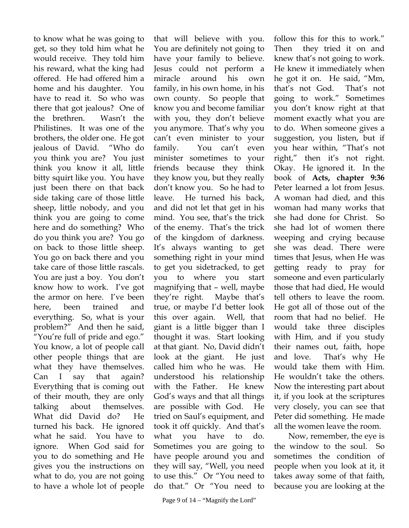to know what he was going to get, so they told him what he would receive. They told him his reward, what the king had offered. He had offered him a home and his daughter. You have to read it. So who was there that got jealous? One of the brethren. Wasn't the Philistines. It was one of the brothers, the older one. He got jealous of David. "Who do you think you are? You just think you know it all, little bitty squirt like you. You have just been there on that back side taking care of those little sheep, little nobody, and you think you are going to come here and do something? Who do you think you are? You go on back to those little sheep. You go on back there and you take care of those little rascals. You are just a boy. You don't know how to work. I've got the armor on here. I've been here, been trained and everything. So, what is your problem?" And then he said, "You're full of pride and ego." You know, a lot of people call other people things that are what they have themselves. Can I say that again? Everything that is coming out of their mouth, they are only talking about themselves. What did David do? He turned his back. He ignored what he said. You have to ignore. When God said for you to do something and He gives you the instructions on what to do, you are not going to have a whole lot of people

that will believe with you. You are definitely not going to have your family to believe. Jesus could not perform a miracle around his own family, in his own home, in his own county. So people that know you and become familiar with you, they don't believe you anymore. That's why you can't even minister to your family. You can't even minister sometimes to your friends because they think they know you, but they really don't know you. So he had to leave. He turned his back, and did not let that get in his mind. You see, that's the trick of the enemy. That's the trick of the kingdom of darkness. It's always wanting to get something right in your mind to get you sidetracked, to get you to where you start magnifying that – well, maybe they're right. Maybe that's true, or maybe I'd better look this over again. Well, that giant is a little bigger than I thought it was. Start looking at that giant. No, David didn't look at the giant. He just called him who he was. He understood his relationship with the Father. He knew God's ways and that all things are possible with God. He tried on Saul's equipment, and took it off quickly. And that's what you have to do. Sometimes you are going to have people around you and they will say, "Well, you need to use this." Or "You need to do that." Or "You need to

that's not God. That's not going to work." Sometimes you don't know right at that moment exactly what you are to do. When someone gives a suggestion, you listen, but if you hear within, "That's not right," then it's not right. Okay. He ignored it. In the book of **Acts, chapter 9:36**  Peter learned a lot from Jesus. A woman had died, and this woman had many works that she had done for Christ. So she had lot of women there weeping and crying because she was dead. There were times that Jesus, when He was getting ready to pray for someone and even particularly those that had died, He would tell others to leave the room. He got all of those out of the room that had no belief. He would take three disciples with Him, and if you study their names out, faith, hope and love. That's why He would take them with Him. He wouldn't take the others. Now the interesting part about it, if you look at the scriptures very closely, you can see that Peter did something. He made all the women leave the room. Now, remember, the eye is the window to the soul. So sometimes the condition of

people when you look at it, it takes away some of that faith, because you are looking at the

follow this for this to work." Then they tried it on and knew that's not going to work. He knew it immediately when he got it on. He said, "Mm,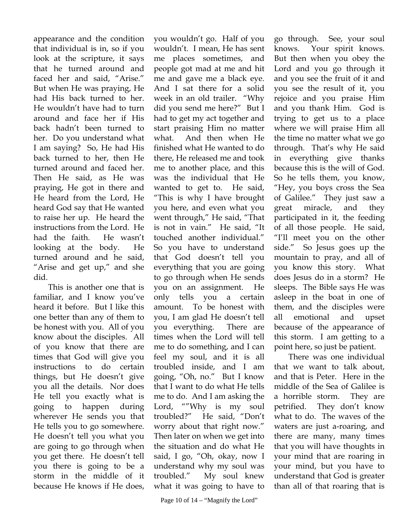appearance and the condition that individual is in, so if you look at the scripture, it says that he turned around and faced her and said, "Arise." But when He was praying, He had His back turned to her. He wouldn't have had to turn around and face her if His back hadn't been turned to her. Do you understand what I am saying? So, He had His back turned to her, then He turned around and faced her. Then He said, as He was praying, He got in there and He heard from the Lord, He heard God say that He wanted to raise her up. He heard the instructions from the Lord. He had the faith. He wasn't looking at the body. He turned around and he said, "Arise and get up," and she did.

This is another one that is familiar, and I know you've heard it before. But I like this one better than any of them to be honest with you. All of you know about the disciples. All of you know that there are times that God will give you instructions to do certain things, but He doesn't give you all the details. Nor does He tell you exactly what is going to happen during wherever He sends you that He tells you to go somewhere. He doesn't tell you what you are going to go through when you get there. He doesn't tell you there is going to be a storm in the middle of it because He knows if He does,

you wouldn't go. Half of you wouldn't. I mean, He has sent me places sometimes, and people got mad at me and hit me and gave me a black eye. And I sat there for a solid week in an old trailer. "Why did you send me here?" But I had to get my act together and start praising Him no matter what. And then when He finished what He wanted to do there, He released me and took me to another place, and this was the individual that He wanted to get to. He said, "This is why I have brought you here, and even what you went through," He said, "That is not in vain." He said, "It touched another individual." So you have to understand that God doesn't tell you everything that you are going to go through when He sends you on an assignment. He only tells you a certain amount. To be honest with you, I am glad He doesn't tell you everything. There are times when the Lord will tell me to do something, and I can feel my soul, and it is all troubled inside, and I am going, "Oh, no." But I know that I want to do what He tells me to do. And I am asking the Lord, ""Why is my soul troubled?" He said, "Don't worry about that right now." Then later on when we get into the situation and do what He said, I go, "Oh, okay, now I understand why my soul was troubled." My soul knew what it was going to have to

Page 10 of 14 – "Magnify the Lord"

go through. See, your soul knows. Your spirit knows. But then when you obey the Lord and you go through it and you see the fruit of it and you see the result of it, you rejoice and you praise Him and you thank Him. God is trying to get us to a place where we will praise Him all the time no matter what we go through. That's why He said in everything give thanks because this is the will of God. So he tells them, you know, "Hey, you boys cross the Sea of Galilee." They just saw a great miracle, and they participated in it, the feeding of all those people. He said, "I'll meet you on the other side." So Jesus goes up the mountain to pray, and all of you know this story. What does Jesus do in a storm? He sleeps. The Bible says He was asleep in the boat in one of them, and the disciples were all emotional and upset because of the appearance of this storm. I am getting to a point here, so just be patient.

There was one individual that we want to talk about, and that is Peter. Here in the middle of the Sea of Galilee is a horrible storm. They are petrified. They don't know what to do. The waves of the waters are just a-roaring, and there are many, many times that you will have thoughts in your mind that are roaring in your mind, but you have to understand that God is greater than all of that roaring that is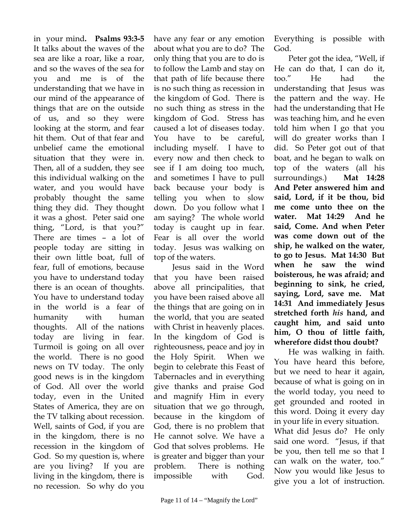in your mind**. Psalms 93:3-5** It talks about the waves of the sea are like a roar, like a roar, and so the waves of the sea for you and me is of the understanding that we have in our mind of the appearance of things that are on the outside of us, and so they were looking at the storm, and fear hit them. Out of that fear and unbelief came the emotional situation that they were in. Then, all of a sudden, they see this individual walking on the water, and you would have probably thought the same thing they did. They thought it was a ghost. Peter said one thing, "Lord, is that you?" There are times – a lot of people today are sitting in their own little boat, full of fear, full of emotions, because you have to understand today there is an ocean of thoughts. You have to understand today in the world is a fear of humanity with human thoughts. All of the nations today are living in fear. Turmoil is going on all over the world. There is no good news on TV today. The only good news is in the kingdom of God. All over the world today, even in the United States of America, they are on the TV talking about recession. Well, saints of God, if you are in the kingdom, there is no recession in the kingdom of God. So my question is, where are you living? If you are living in the kingdom, there is no recession. So why do you

have any fear or any emotion about what you are to do? The only thing that you are to do is to follow the Lamb and stay on that path of life because there is no such thing as recession in the kingdom of God. There is no such thing as stress in the kingdom of God. Stress has caused a lot of diseases today. You have to be careful, including myself. I have to every now and then check to see if I am doing too much, and sometimes I have to pull back because your body is telling you when to slow down. Do you follow what I am saying? The whole world today is caught up in fear. Fear is all over the world today. Jesus was walking on top of the waters.

 Jesus said in the Word that you have been raised above all principalities, that you have been raised above all the things that are going on in the world, that you are seated with Christ in heavenly places. In the kingdom of God is righteousness, peace and joy in the Holy Spirit. When we begin to celebrate this Feast of Tabernacles and in everything give thanks and praise God and magnify Him in every situation that we go through, because in the kingdom of God, there is no problem that He cannot solve. We have a God that solves problems. He is greater and bigger than your problem. There is nothing impossible with God.

Everything is possible with God.

Peter got the idea, "Well, if He can do that, I can do it, too." He had the understanding that Jesus was the pattern and the way. He had the understanding that He was teaching him, and he even told him when I go that you will do greater works than I did. So Peter got out of that boat, and he began to walk on top of the waters (all his surroundings.) **Mat 14:28 And Peter answered him and said, Lord, if it be thou, bid me come unto thee on the water. Mat 14:29 And he said, Come. And when Peter was come down out of the ship, he walked on the water, to go to Jesus. Mat 14:30 But when he saw the wind boisterous, he was afraid; and beginning to sink, he cried, saying, Lord, save me. Mat 14:31 And immediately Jesus stretched forth** *his* **hand, and caught him, and said unto him, O thou of little faith, wherefore didst thou doubt?** 

He was walking in faith. You have heard this before, but we need to hear it again, because of what is going on in the world today, you need to get grounded and rooted in this word. Doing it every day in your life in every situation.

What did Jesus do? He only said one word. "Jesus, if that be you, then tell me so that I can walk on the water, too." Now you would like Jesus to give you a lot of instruction.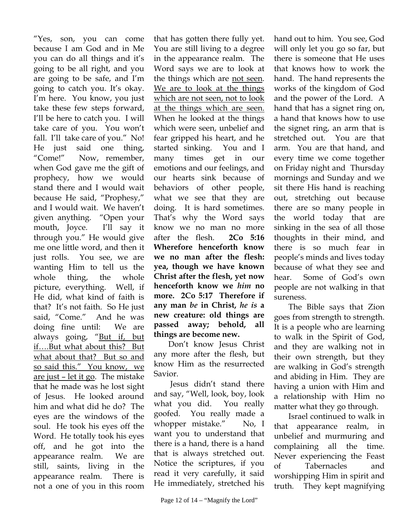"Yes, son, you can come because I am God and in Me you can do all things and it's going to be all right, and you are going to be safe, and I'm going to catch you. It's okay. I'm here. You know, you just take these few steps forward, I'll be here to catch you. I will take care of you. You won't fall. I'll take care of you." No! He just said one thing, "Come!" Now, remember, when God gave me the gift of prophecy, how we would stand there and I would wait because He said, "Prophesy," and I would wait. We haven't given anything. "Open your mouth, Joyce. I'll say it through you." He would give me one little word, and then it just rolls. You see, we are wanting Him to tell us the whole thing, the whole picture, everything. Well, if He did, what kind of faith is that? It's not faith. So He just said, "Come." And he was doing fine until: We are always going, "But if, but if….But what about this? But what about that? But so and so said this." You know, we are just – let it go. The mistake that he made was he lost sight of Jesus. He looked around him and what did he do? The eyes are the windows of the soul. He took his eyes off the Word. He totally took his eyes off, and he got into the appearance realm. We are still, saints, living in the appearance realm. There is not a one of you in this room

that has gotten there fully yet. You are still living to a degree in the appearance realm. The Word says we are to look at the things which are not seen. We are to look at the things which are not seen, not to look at the things which are seen. When he looked at the things which were seen, unbelief and fear gripped his heart, and he started sinking. You and I many times get in our emotions and our feelings, and our hearts sink because of behaviors of other people, what we see that they are doing. It is hard sometimes. That's why the Word says know we no man no more after the flesh. **2Co 5:16 Wherefore henceforth know we no man after the flesh: yea, though we have known Christ after the flesh, yet now henceforth know we** *him* **no more. 2Co 5:17 Therefore if any man** *be* **in Christ,** *he is* **a new creature: old things are passed away; behold, all things are become new.** 

Don't know Jesus Christ any more after the flesh, but know Him as the resurrected Savior.

 Jesus didn't stand there and say, "Well, look, boy, look what you did. You really goofed. You really made a whopper mistake." No, I want you to understand that there is a hand, there is a hand that is always stretched out. Notice the scriptures, if you read it very carefully, it said He immediately, stretched his

hand out to him. You see, God will only let you go so far, but there is someone that He uses that knows how to work the hand. The hand represents the works of the kingdom of God and the power of the Lord. A hand that has a signet ring on, a hand that knows how to use the signet ring, an arm that is stretched out. You are that arm. You are that hand, and every time we come together on Friday night and Thursday mornings and Sunday and we sit there His hand is reaching out, stretching out because there are so many people in the world today that are sinking in the sea of all those thoughts in their mind, and there is so much fear in people's minds and lives today because of what they see and hear. Some of God's own people are not walking in that sureness.

The Bible says that Zion goes from strength to strength. It is a people who are learning to walk in the Spirit of God, and they are walking not in their own strength, but they are walking in God's strength and abiding in Him. They are having a union with Him and a relationship with Him no matter what they go through.

Israel continued to walk in that appearance realm, in unbelief and murmuring and complaining all the time. Never experiencing the Feast of Tabernacles and worshipping Him in spirit and truth. They kept magnifying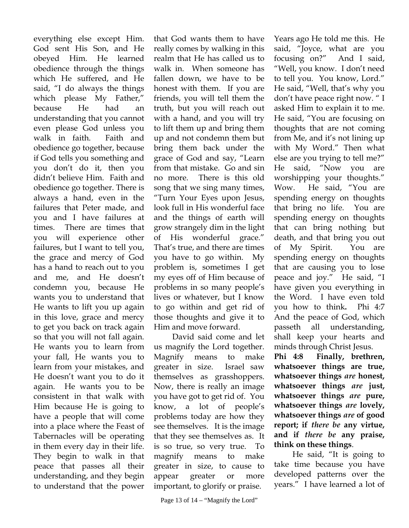everything else except Him. God sent His Son, and He obeyed Him. He learned obedience through the things which He suffered, and He said, "I do always the things which please My Father," because He had an understanding that you cannot even please God unless you walk in faith. Faith and obedience go together, because if God tells you something and you don't do it, then you didn't believe Him. Faith and obedience go together. There is always a hand, even in the failures that Peter made, and you and I have failures at times. There are times that you will experience other failures, but I want to tell you, the grace and mercy of God has a hand to reach out to you and me, and He doesn't condemn you, because He wants you to understand that He wants to lift you up again in this love, grace and mercy to get you back on track again so that you will not fall again. He wants you to learn from your fall, He wants you to learn from your mistakes, and He doesn't want you to do it again. He wants you to be consistent in that walk with Him because He is going to have a people that will come into a place where the Feast of Tabernacles will be operating in them every day in their life. They begin to walk in that peace that passes all their understanding, and they begin to understand that the power

that God wants them to have really comes by walking in this realm that He has called us to walk in. When someone has fallen down, we have to be honest with them. If you are friends, you will tell them the truth, but you will reach out with a hand, and you will try to lift them up and bring them up and not condemn them but bring them back under the grace of God and say, "Learn from that mistake. Go and sin no more. There is this old song that we sing many times, "Turn Your Eyes upon Jesus, look full in His wonderful face and the things of earth will grow strangely dim in the light of His wonderful grace." That's true, and there are times you have to go within. My problem is, sometimes I get my eyes off of Him because of problems in so many people's lives or whatever, but I know to go within and get rid of those thoughts and give it to Him and move forward.

 David said come and let us magnify the Lord together. Magnify means to make greater in size. Israel saw themselves as grasshoppers. Now, there is really an image you have got to get rid of. You know, a lot of people's problems today are how they see themselves. It is the image that they see themselves as. It is so true, so very true. To magnify means to make greater in size, to cause to appear greater or more important, to glorify or praise.

Years ago He told me this. He said, "Joyce, what are you focusing on?" And I said, "Well, you know. I don't need to tell you. You know, Lord." He said, "Well, that's why you don't have peace right now. " I asked Him to explain it to me. He said, "You are focusing on thoughts that are not coming from Me, and it's not lining up with My Word." Then what else are you trying to tell me?" He said, "Now you are worshipping your thoughts." Wow. He said, "You are spending energy on thoughts that bring no life. You are spending energy on thoughts that can bring nothing but death, and that bring you out of My Spirit. You are spending energy on thoughts that are causing you to lose peace and joy." He said, "I have given you everything in the Word. I have even told you how to think**.** Phi 4:7 And the peace of God, which passeth all understanding, shall keep your hearts and minds through Christ Jesus.

**Phi 4:8 Finally, brethren, whatsoever things are true, whatsoever things** *are* **honest, whatsoever things** *are* **just, whatsoever things** *are* **pure, whatsoever things** *are* **lovely, whatsoever things** *are* **of good report; if** *there be* **any virtue, and if** *there be* **any praise, think on these things**.

 He said, "It is going to take time because you have developed patterns over the years." I have learned a lot of